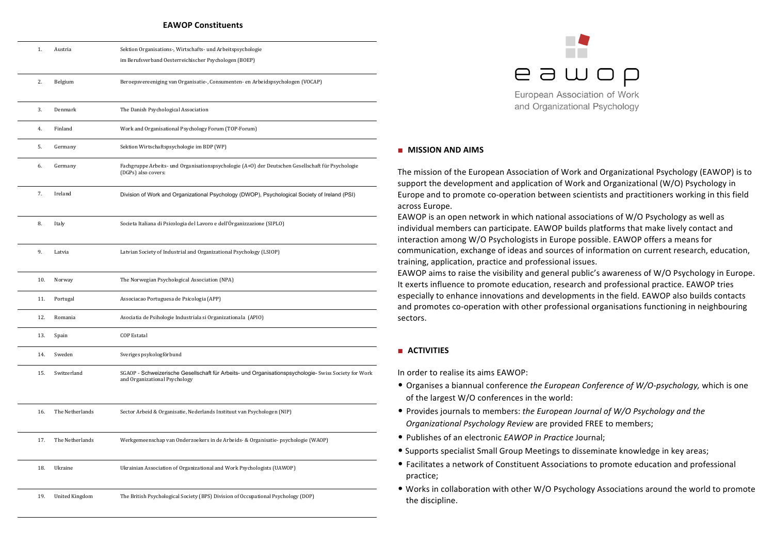#### **EAWOP Constituents**

| 1.  | Austria               | Sektion Organisations-, Wirtschafts- und Arbeitspsychologie<br>im Berufsverband Oesterreichischer Psychologen (BOEP)                   |
|-----|-----------------------|----------------------------------------------------------------------------------------------------------------------------------------|
| 2.  | Belgium               | Beroepsvereeniging van Organisatie-, Consumenten- en Arbeidspsychologen (VOCAP)                                                        |
| 3.  | Denmark               | The Danish Psychological Association                                                                                                   |
| 4.  | Finland               | Work and Organisational Psychology Forum (TOP-Forum)                                                                                   |
| 5.  | Germany               | Sektion Wirtschaftspsychologie im BDP (WP)                                                                                             |
| 6.  | Germany               | Fachgruppe Arbeits- und Organisationspsychologie (A+O) der Deutschen Gesellschaft für Psychologie<br>(DGPs) also covers:               |
| 7.  | Ireland               | Division of Work and Organizational Psychology (DWOP), Psychological Society of Ireland (PSI)                                          |
| 8.  | Italy                 | Societa Italiana di Psicologia del Lavoro e dell'Órganizzazione (SIPLO)                                                                |
| 9.  | Latvia                | Latvian Society of Industrial and Organizational Psychology (LSIOP)                                                                    |
| 10. | Norway                | The Norwegian Psychological Association (NPA)                                                                                          |
| 11. | Portugal              | Associacao Portuguesa de Psicologia (APP)                                                                                              |
| 12. | Romania               | Asociatia de Psihologie Industriala si Organizationala (APIO)                                                                          |
| 13. | Spain                 | <b>COP Estatal</b>                                                                                                                     |
| 14. | Sweden                | Sveriges psykologförbund                                                                                                               |
| 15. | Switzerland           | SGAOP - Schweizerische Gesellschaft für Arbeits- und Organisationspsychologie- Swiss Society for Work<br>and Organizational Psychology |
| 16. | The Netherlands       | Sector Arbeid & Organisatie, Nederlands Instituut van Psychologen (NIP)                                                                |
| 17. | The Netherlands       | Werkgemeenschap van Onderzoekers in de Arbeids- & Organisatie- psychologie (WAOP)                                                      |
| 18. | Ukraine               | Ukrainian Association of Organizational and Work Psychologists (UAWOP)                                                                 |
| 19. | <b>United Kingdom</b> | The British Psychological Society (BPS) Division of Occupational Psychology (DOP)                                                      |
|     |                       |                                                                                                                                        |



#### **■ MISSION&AND&AIMS&**

The mission of the European Association of Work and Organizational Psychology (EAWOP) is to support the development and application of Work and Organizational (W/O) Psychology in Europe and to promote co-operation between scientists and practitioners working in this field across Europe.

EAWOP is an open network in which national associations of W/O Psychology as well as individual members can participate. EAWOP builds platforms that make lively contact and interaction among W/O Psychologists in Europe possible. EAWOP offers a means for communication, exchange of ideas and sources of information on current research, education, training, application, practice and professional issues.

EAWOP aims to raise the visibility and general public's awareness of W/O Psychology in Europe. It exerts influence to promote education, research and professional practice. EAWOP tries especially to enhance innovations and developments in the field. EAWOP also builds contacts and promotes co-operation with other professional organisations functioning in neighbouring sectors.

#### **■ ACTIVITIES**

In order to realise its aims EAWOP:

- Organises a biannual conference *the European Conference of W/O-psychology*, which is one of the largest W/O conferences in the world:
- Provides journals to members: *the European Journal of W/O Psychology and the* **Organizational Psychology Review are provided FREE to members;**
- Publishes of an electronic *EAWOP in Practice* Journal;
- Supports specialist Small Group Meetings to disseminate knowledge in key areas;
- Facilitates a network of Constituent Associations to promote education and professional practice:
- Works in collaboration with other W/O Psychology Associations around the world to promote the discipline.